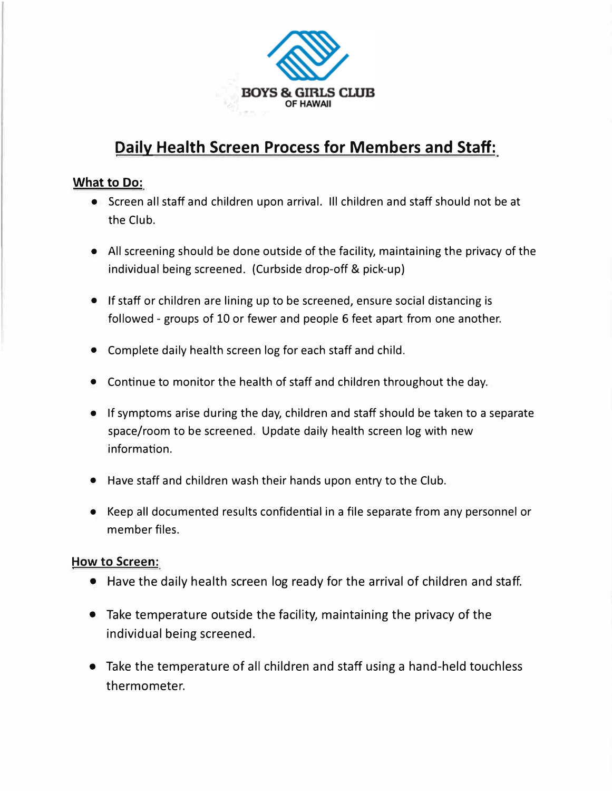

# **Daily Health Screen Process for Members and Staff:**

### **What to Do:**

- Screen all staff and children upon arrival. Ill children and staff should not be at the Club.
- All screening should be done outside of the facility, maintaining the privacy of the individual being screened. (Curbside drop-off & pick-up)
- If staff or children are lining up to be screened, ensure social distancing is followed - groups of 10 or fewer and people 6 feet apart from one another.
- Complete daily health screen log for each staff and child.
- Continue to monitor the health of staff and children throughout the day.
- If symptoms arise during the day, children and staff should be taken to a separate space/room to be screened. Update daily health screen log with new information.
- Have staff and children wash their hands upon entry to the Club.
- Keep all documented results confidential in a file separate from any personnel or member files.

## **How to Screen:**

- Have the daily health screen log ready for the arrival of children and staff.
- Take temperature outside the facility, maintaining the privacy of the individual being screened.
- Take the temperature of all children and staff using a hand-held touchless thermometer.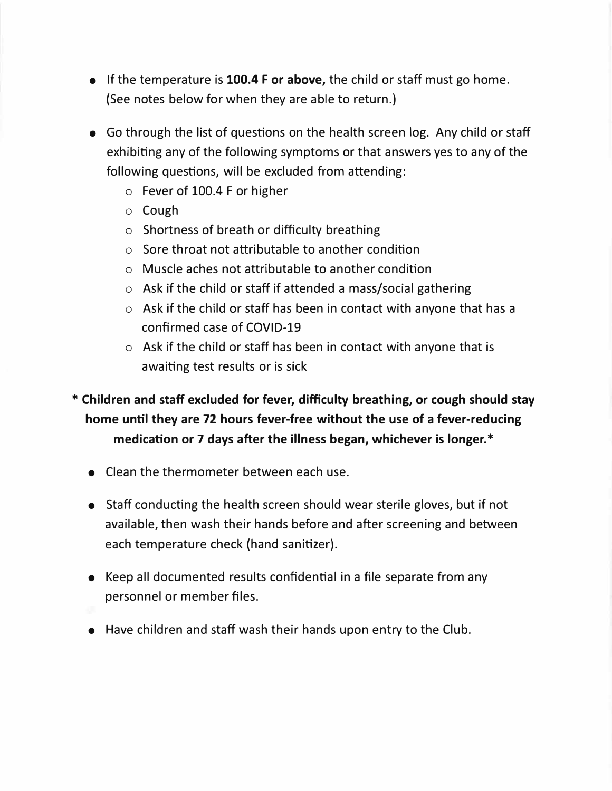- If the temperature is **100.4 For above,** the child or staff must go home. (See notes below for when they are able to return.)
- Go through the list of questions on the health screen log. Any child or staff exhibiting any of the following symptoms or that answers yes to any of the following questions, will be excluded from attending:
	- o Fever of 100.4 F or higher
	- o Cough
	- o Shortness of breath or difficulty breathing
	- o Sore throat not attributable to another condition
	- o Muscle aches not attributable to another condition
	- o Ask if the child or staff if attended a mass/social gathering
	- o Ask if the child or staff has been in contact with anyone that has a confirmed case of COVID-19
	- o Ask if the child or staff has been in contact with anyone that is awaiting test results or is sick

## **\* Children and staff excluded for fever, difficulty breathing, or cough should stay home until they are 72 hours fever-free without the use of a fever-reducing medication or 7 days after the illness began, whichever is longer.\***

- Clean the thermometer between each use.
- Staff conducting the health screen should wear sterile gloves, but if not available, then wash their hands before and after screening and between each temperature check (hand sanitizer).
- Keep all documented results confidential in a file separate from any personnel or member files.
- 
- Have children and staff wash their hands upon entry to the Club.